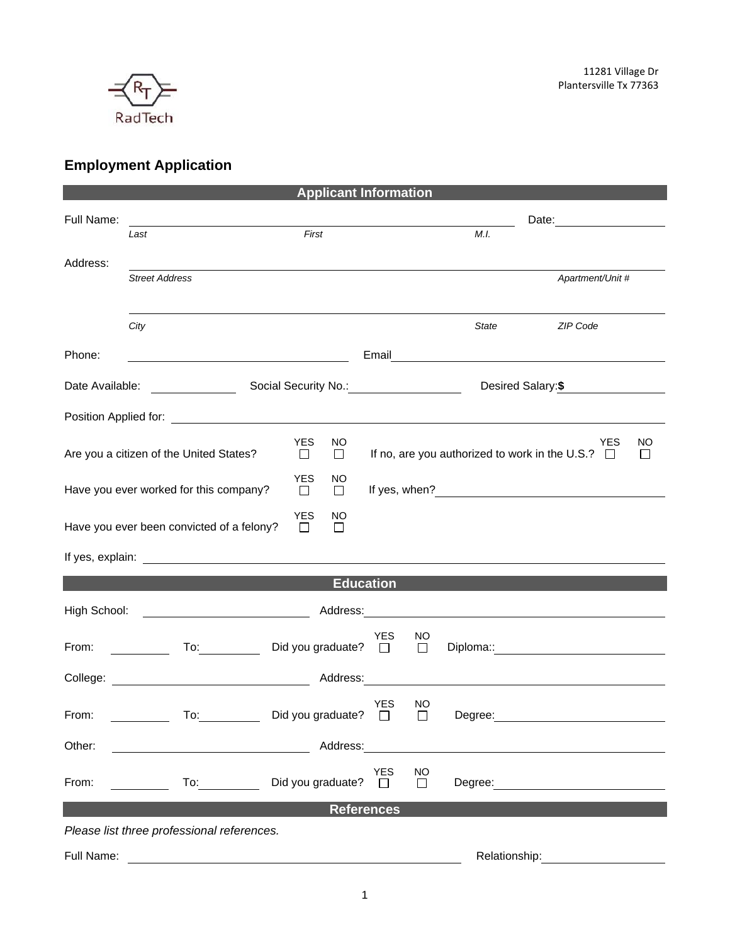

## **Employment Application**

| <b>Applicant Information</b>                                                   |                                                                                                                                                                                                                                      |                                           |                                                                                                                                                                                                                                |                     |               |                                                                                                                                                                                                                               |  |  |
|--------------------------------------------------------------------------------|--------------------------------------------------------------------------------------------------------------------------------------------------------------------------------------------------------------------------------------|-------------------------------------------|--------------------------------------------------------------------------------------------------------------------------------------------------------------------------------------------------------------------------------|---------------------|---------------|-------------------------------------------------------------------------------------------------------------------------------------------------------------------------------------------------------------------------------|--|--|
| Full Name:                                                                     |                                                                                                                                                                                                                                      |                                           |                                                                                                                                                                                                                                |                     |               |                                                                                                                                                                                                                               |  |  |
|                                                                                | Last                                                                                                                                                                                                                                 | First                                     |                                                                                                                                                                                                                                |                     | M.I.          |                                                                                                                                                                                                                               |  |  |
|                                                                                |                                                                                                                                                                                                                                      |                                           |                                                                                                                                                                                                                                |                     |               |                                                                                                                                                                                                                               |  |  |
| Address:                                                                       | <b>Street Address</b>                                                                                                                                                                                                                |                                           |                                                                                                                                                                                                                                |                     |               | Apartment/Unit #                                                                                                                                                                                                              |  |  |
|                                                                                |                                                                                                                                                                                                                                      |                                           |                                                                                                                                                                                                                                |                     |               |                                                                                                                                                                                                                               |  |  |
|                                                                                |                                                                                                                                                                                                                                      |                                           |                                                                                                                                                                                                                                |                     |               |                                                                                                                                                                                                                               |  |  |
|                                                                                | City                                                                                                                                                                                                                                 |                                           |                                                                                                                                                                                                                                |                     | State         | ZIP Code                                                                                                                                                                                                                      |  |  |
| Phone:                                                                         | <u> 1989 - Johann Barn, mars ann an t-Amhain Aonaich an t-Aonaich an t-Aonaich ann an t-Aonaich an t-Aonaich ann </u>                                                                                                                |                                           |                                                                                                                                                                                                                                |                     |               |                                                                                                                                                                                                                               |  |  |
| Date Available:                                                                |                                                                                                                                                                                                                                      | Social Security No.: <u>Communication</u> |                                                                                                                                                                                                                                |                     |               |                                                                                                                                                                                                                               |  |  |
|                                                                                |                                                                                                                                                                                                                                      |                                           |                                                                                                                                                                                                                                |                     |               |                                                                                                                                                                                                                               |  |  |
|                                                                                |                                                                                                                                                                                                                                      |                                           |                                                                                                                                                                                                                                |                     |               |                                                                                                                                                                                                                               |  |  |
| <b>YES</b><br>NO<br><b>YES</b><br><b>NO</b>                                    |                                                                                                                                                                                                                                      |                                           |                                                                                                                                                                                                                                |                     |               |                                                                                                                                                                                                                               |  |  |
|                                                                                | Are you a citizen of the United States?                                                                                                                                                                                              | $\Box$<br>$\Box$                          |                                                                                                                                                                                                                                |                     |               | If no, are you authorized to work in the U.S.? $\Box$<br>$\Box$                                                                                                                                                               |  |  |
| <b>YES</b><br>NO<br>Have you ever worked for this company?<br>$\Box$<br>$\Box$ |                                                                                                                                                                                                                                      |                                           |                                                                                                                                                                                                                                |                     |               |                                                                                                                                                                                                                               |  |  |
|                                                                                |                                                                                                                                                                                                                                      |                                           |                                                                                                                                                                                                                                |                     |               |                                                                                                                                                                                                                               |  |  |
|                                                                                | Have you ever been convicted of a felony?                                                                                                                                                                                            | <b>YES</b><br>NO.<br>□<br>П               |                                                                                                                                                                                                                                |                     |               |                                                                                                                                                                                                                               |  |  |
|                                                                                |                                                                                                                                                                                                                                      |                                           |                                                                                                                                                                                                                                |                     |               |                                                                                                                                                                                                                               |  |  |
|                                                                                | If yes, explain: <u>example and the set of the set of the set of the set of the set of the set of the set of the set of the set of the set of the set of the set of the set of the set of the set of the set of the set of the s</u> |                                           |                                                                                                                                                                                                                                |                     |               |                                                                                                                                                                                                                               |  |  |
| <b>Education</b>                                                               |                                                                                                                                                                                                                                      |                                           |                                                                                                                                                                                                                                |                     |               |                                                                                                                                                                                                                               |  |  |
| High School:                                                                   |                                                                                                                                                                                                                                      |                                           |                                                                                                                                                                                                                                |                     |               |                                                                                                                                                                                                                               |  |  |
|                                                                                |                                                                                                                                                                                                                                      |                                           | <b>YES</b>                                                                                                                                                                                                                     | NO.                 |               |                                                                                                                                                                                                                               |  |  |
| From:                                                                          |                                                                                                                                                                                                                                      | To: Did you graduate? □                   |                                                                                                                                                                                                                                | $\Box$              |               | Diploma:: and the contract of the contract of the contract of the contract of the contract of the contract of the contract of the contract of the contract of the contract of the contract of the contract of the contract of |  |  |
|                                                                                |                                                                                                                                                                                                                                      |                                           | Address: Andreas and the set of the set of the set of the set of the set of the set of the set of the set of the set of the set of the set of the set of the set of the set of the set of the set of the set of the set of the |                     |               | <u> 1989 - Johann Barbara, martin amerikan basar dan berasal dan berasal dalam basar dalam basar dalam basar dala</u>                                                                                                         |  |  |
|                                                                                |                                                                                                                                                                                                                                      |                                           |                                                                                                                                                                                                                                |                     |               |                                                                                                                                                                                                                               |  |  |
| From:                                                                          | To:                                                                                                                                                                                                                                  | Did you graduate?                         | YES<br>П                                                                                                                                                                                                                       | ΝO<br>$\Box$        | Degree:       |                                                                                                                                                                                                                               |  |  |
|                                                                                |                                                                                                                                                                                                                                      |                                           |                                                                                                                                                                                                                                |                     |               |                                                                                                                                                                                                                               |  |  |
| Other:                                                                         |                                                                                                                                                                                                                                      | Address:                                  |                                                                                                                                                                                                                                |                     |               |                                                                                                                                                                                                                               |  |  |
| From:                                                                          | To:                                                                                                                                                                                                                                  | Did you graduate?                         | <b>YES</b><br>$\perp$                                                                                                                                                                                                          | <b>NO</b><br>$\Box$ | Degree:       |                                                                                                                                                                                                                               |  |  |
|                                                                                |                                                                                                                                                                                                                                      |                                           |                                                                                                                                                                                                                                |                     |               |                                                                                                                                                                                                                               |  |  |
| <b>References</b>                                                              |                                                                                                                                                                                                                                      |                                           |                                                                                                                                                                                                                                |                     |               |                                                                                                                                                                                                                               |  |  |
|                                                                                | Please list three professional references.                                                                                                                                                                                           |                                           |                                                                                                                                                                                                                                |                     |               |                                                                                                                                                                                                                               |  |  |
| Full Name:                                                                     |                                                                                                                                                                                                                                      |                                           |                                                                                                                                                                                                                                |                     | Relationship: |                                                                                                                                                                                                                               |  |  |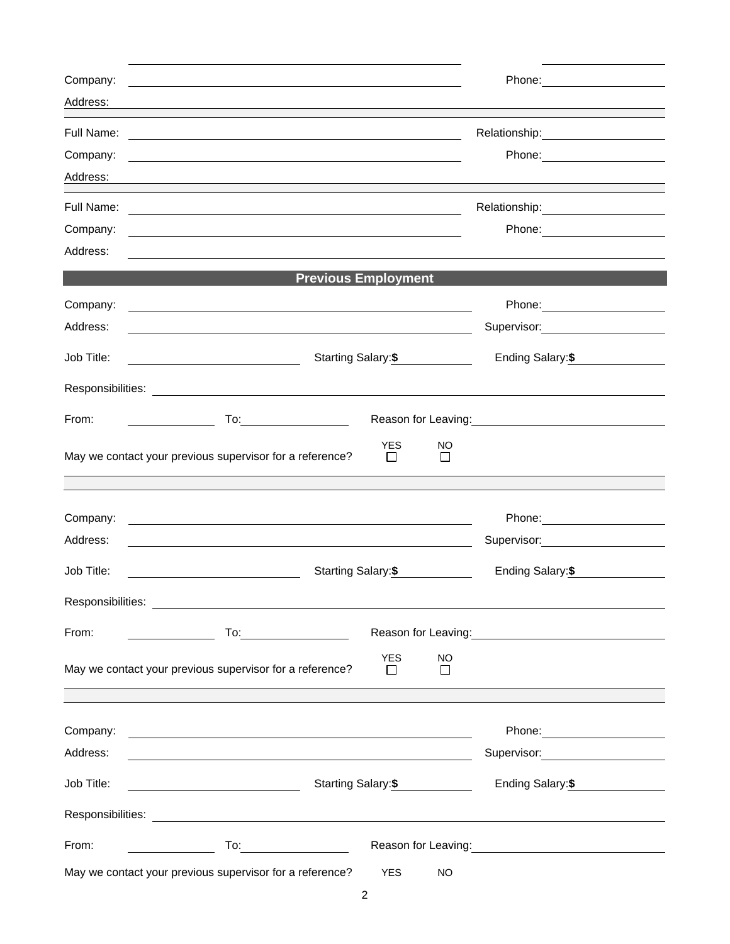| Company:          |                                                                                                                       | Phone: <u>______________</u>                                                                                                                                                                                                           |
|-------------------|-----------------------------------------------------------------------------------------------------------------------|----------------------------------------------------------------------------------------------------------------------------------------------------------------------------------------------------------------------------------------|
| Address:          |                                                                                                                       |                                                                                                                                                                                                                                        |
| Full Name:        |                                                                                                                       |                                                                                                                                                                                                                                        |
| Company:          |                                                                                                                       | Phone: _______________________                                                                                                                                                                                                         |
| Address:          |                                                                                                                       |                                                                                                                                                                                                                                        |
| Full Name:        | and the control of the control of the control of the control of the control of the control of the control of the      | Relationship: 2000                                                                                                                                                                                                                     |
| Company:          | and the control of the control of the control of the control of the control of the control of the control of the      |                                                                                                                                                                                                                                        |
| Address:          | <u> 1989 - Johann Barbara, martin amerikan basar dan berasal dan berasal dalam basar dalam basar dalam basar dala</u> |                                                                                                                                                                                                                                        |
|                   | <b>Previous Employment</b>                                                                                            |                                                                                                                                                                                                                                        |
| Company:          | <u> 1989 - Johann Harry Barn, mars ar breithinn ar breithinn ar breithinn ar breithinn ar breithinn ar breithinn </u> |                                                                                                                                                                                                                                        |
| Address:          |                                                                                                                       | Supervisor: __________________                                                                                                                                                                                                         |
| Job Title:        | Starting Salary:\$<br><u> 1980 - Johann Barbara, martin a</u>                                                         | Ending Salary:\$                                                                                                                                                                                                                       |
|                   |                                                                                                                       |                                                                                                                                                                                                                                        |
| From:             | <u>and the contract of the contract of</u>                                                                            | Reason for Leaving:<br><u>Example 2008</u>                                                                                                                                                                                             |
|                   | <b>YES</b><br>May we contact your previous supervisor for a reference?<br>$\Box$                                      | NO<br>$\Box$                                                                                                                                                                                                                           |
|                   |                                                                                                                       |                                                                                                                                                                                                                                        |
| Company:          |                                                                                                                       |                                                                                                                                                                                                                                        |
| Address:          |                                                                                                                       |                                                                                                                                                                                                                                        |
| Job Title:        | Starting Salary:\$                                                                                                    | Ending Salary: \$                                                                                                                                                                                                                      |
| Responsibilities: | <u> 1989 - Andrea Andrew Maria (h. 1989).</u>                                                                         |                                                                                                                                                                                                                                        |
| From:             |                                                                                                                       | Reason for Leaving: Management Control of Reason for Leaving:                                                                                                                                                                          |
|                   | <b>YES</b><br>May we contact your previous supervisor for a reference?<br>$\Box$                                      | <b>NO</b><br>$\Box$                                                                                                                                                                                                                    |
|                   |                                                                                                                       |                                                                                                                                                                                                                                        |
| Company:          | <u> 1989 - Johann Harry Harry Harry Harry Harry Harry Harry Harry Harry Harry Harry Harry Harry Harry Harry Harry</u> | Phone: ________________________                                                                                                                                                                                                        |
| Address:          |                                                                                                                       | Supervisor: Victor Control of Control Control Control Control Control Control Control Control Control Control Co                                                                                                                       |
| Job Title:        | Starting Salary: \$<br><u> 1989 - Johann Barnett, fransk politik (d. 1989)</u>                                        | Ending Salary: \$                                                                                                                                                                                                                      |
|                   |                                                                                                                       |                                                                                                                                                                                                                                        |
| From:             |                                                                                                                       | Reason for Leaving:<br><u>contract and the contract of the contract of the contract of the contract of the contract of the contract of the contract of the contract of the contract of the contract of the contract of the contrac</u> |
|                   | May we contact your previous supervisor for a reference?<br><b>YES</b>                                                | NO.                                                                                                                                                                                                                                    |